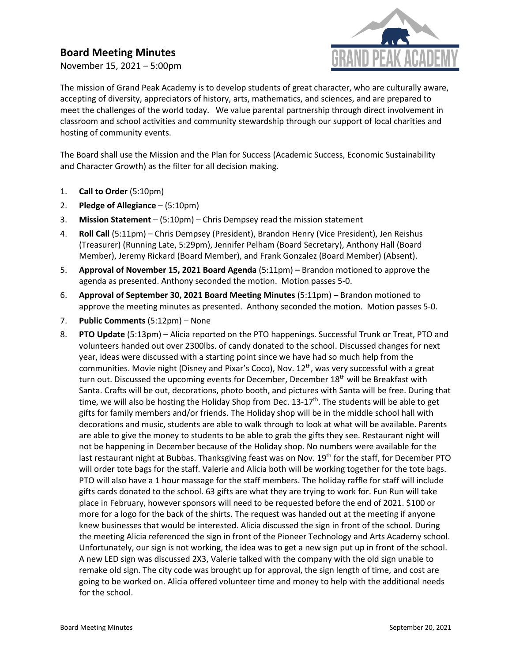## **Board Meeting Minutes**

November 15, 2021 – 5:00pm



The mission of Grand Peak Academy is to develop students of great character, who are culturally aware, accepting of diversity, appreciators of history, arts, mathematics, and sciences, and are prepared to meet the challenges of the world today. We value parental partnership through direct involvement in classroom and school activities and community stewardship through our support of local charities and hosting of community events.

The Board shall use the Mission and the Plan for Success (Academic Success, Economic Sustainability and Character Growth) as the filter for all decision making.

- 1. **Call to Order** (5:10pm)
- 2. **Pledge of Allegiance** (5:10pm)
- 3. **Mission Statement** (5:10pm) Chris Dempsey read the mission statement
- 4. **Roll Call** (5:11pm) Chris Dempsey (President), Brandon Henry (Vice President), Jen Reishus (Treasurer) (Running Late, 5:29pm), Jennifer Pelham (Board Secretary), Anthony Hall (Board Member), Jeremy Rickard (Board Member), and Frank Gonzalez (Board Member) (Absent).
- 5. **Approval of November 15, 2021 Board Agenda** (5:11pm) Brandon motioned to approve the agenda as presented. Anthony seconded the motion. Motion passes 5-0.
- 6. **Approval of September 30, 2021 Board Meeting Minutes** (5:11pm) Brandon motioned to approve the meeting minutes as presented. Anthony seconded the motion. Motion passes 5-0.
- 7. **Public Comments** (5:12pm) None
- 8. **PTO Update** (5:13pm) Alicia reported on the PTO happenings. Successful Trunk or Treat, PTO and volunteers handed out over 2300lbs. of candy donated to the school. Discussed changes for next year, ideas were discussed with a starting point since we have had so much help from the communities. Movie night (Disney and Pixar's Coco), Nov. 12<sup>th</sup>, was very successful with a great turn out. Discussed the upcoming events for December, December  $18<sup>th</sup>$  will be Breakfast with Santa. Crafts will be out, decorations, photo booth, and pictures with Santa will be free. During that time, we will also be hosting the Holiday Shop from Dec. 13-17<sup>th</sup>. The students will be able to get gifts for family members and/or friends. The Holiday shop will be in the middle school hall with decorations and music, students are able to walk through to look at what will be available. Parents are able to give the money to students to be able to grab the gifts they see. Restaurant night will not be happening in December because of the Holiday shop. No numbers were available for the last restaurant night at Bubbas. Thanksgiving feast was on Nov. 19<sup>th</sup> for the staff, for December PTO will order tote bags for the staff. Valerie and Alicia both will be working together for the tote bags. PTO will also have a 1 hour massage for the staff members. The holiday raffle for staff will include gifts cards donated to the school. 63 gifts are what they are trying to work for. Fun Run will take place in February, however sponsors will need to be requested before the end of 2021. \$100 or more for a logo for the back of the shirts. The request was handed out at the meeting if anyone knew businesses that would be interested. Alicia discussed the sign in front of the school. During the meeting Alicia referenced the sign in front of the Pioneer Technology and Arts Academy school. Unfortunately, our sign is not working, the idea was to get a new sign put up in front of the school. A new LED sign was discussed 2X3, Valerie talked with the company with the old sign unable to remake old sign. The city code was brought up for approval, the sign length of time, and cost are going to be worked on. Alicia offered volunteer time and money to help with the additional needs for the school.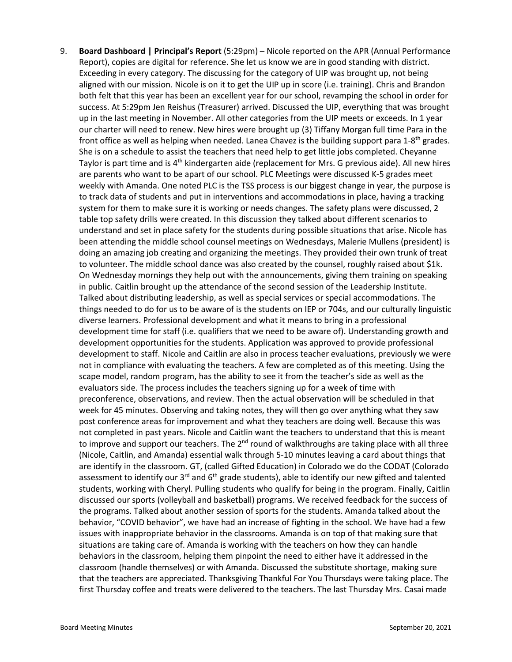9. **Board Dashboard | Principal's Report** (5:29pm) – Nicole reported on the APR (Annual Performance Report), copies are digital for reference. She let us know we are in good standing with district. Exceeding in every category. The discussing for the category of UIP was brought up, not being aligned with our mission. Nicole is on it to get the UIP up in score (i.e. training). Chris and Brandon both felt that this year has been an excellent year for our school, revamping the school in order for success. At 5:29pm Jen Reishus (Treasurer) arrived. Discussed the UIP, everything that was brought up in the last meeting in November. All other categories from the UIP meets or exceeds. In 1 year our charter will need to renew. New hires were brought up (3) Tiffany Morgan full time Para in the front office as well as helping when needed. Lanea Chavez is the building support para 1-8<sup>th</sup> grades. She is on a schedule to assist the teachers that need help to get little jobs completed. Cheyanne Taylor is part time and is 4<sup>th</sup> kindergarten aide (replacement for Mrs. G previous aide). All new hires are parents who want to be apart of our school. PLC Meetings were discussed K-5 grades meet weekly with Amanda. One noted PLC is the TSS process is our biggest change in year, the purpose is to track data of students and put in interventions and accommodations in place, having a tracking system for them to make sure it is working or needs changes. The safety plans were discussed, 2 table top safety drills were created. In this discussion they talked about different scenarios to understand and set in place safety for the students during possible situations that arise. Nicole has been attending the middle school counsel meetings on Wednesdays, Malerie Mullens (president) is doing an amazing job creating and organizing the meetings. They provided their own trunk of treat to volunteer. The middle school dance was also created by the counsel, roughly raised about \$1k. On Wednesday mornings they help out with the announcements, giving them training on speaking in public. Caitlin brought up the attendance of the second session of the Leadership Institute. Talked about distributing leadership, as well as special services or special accommodations. The things needed to do for us to be aware of is the students on IEP or 704s, and our culturally linguistic diverse learners. Professional development and what it means to bring in a professional development time for staff (i.e. qualifiers that we need to be aware of). Understanding growth and development opportunities for the students. Application was approved to provide professional development to staff. Nicole and Caitlin are also in process teacher evaluations, previously we were not in compliance with evaluating the teachers. A few are completed as of this meeting. Using the scape model, random program, has the ability to see it from the teacher's side as well as the evaluators side. The process includes the teachers signing up for a week of time with preconference, observations, and review. Then the actual observation will be scheduled in that week for 45 minutes. Observing and taking notes, they will then go over anything what they saw post conference areas for improvement and what they teachers are doing well. Because this was not completed in past years. Nicole and Caitlin want the teachers to understand that this is meant to improve and support our teachers. The 2<sup>nd</sup> round of walkthroughs are taking place with all three (Nicole, Caitlin, and Amanda) essential walk through 5-10 minutes leaving a card about things that are identify in the classroom. GT, (called Gifted Education) in Colorado we do the CODAT (Colorado assessment to identify our 3<sup>rd</sup> and 6<sup>th</sup> grade students), able to identify our new gifted and talented students, working with Cheryl. Pulling students who qualify for being in the program. Finally, Caitlin discussed our sports (volleyball and basketball) programs. We received feedback for the success of the programs. Talked about another session of sports for the students. Amanda talked about the behavior, "COVID behavior", we have had an increase of fighting in the school. We have had a few issues with inappropriate behavior in the classrooms. Amanda is on top of that making sure that situations are taking care of. Amanda is working with the teachers on how they can handle behaviors in the classroom, helping them pinpoint the need to either have it addressed in the classroom (handle themselves) or with Amanda. Discussed the substitute shortage, making sure that the teachers are appreciated. Thanksgiving Thankful For You Thursdays were taking place. The first Thursday coffee and treats were delivered to the teachers. The last Thursday Mrs. Casai made